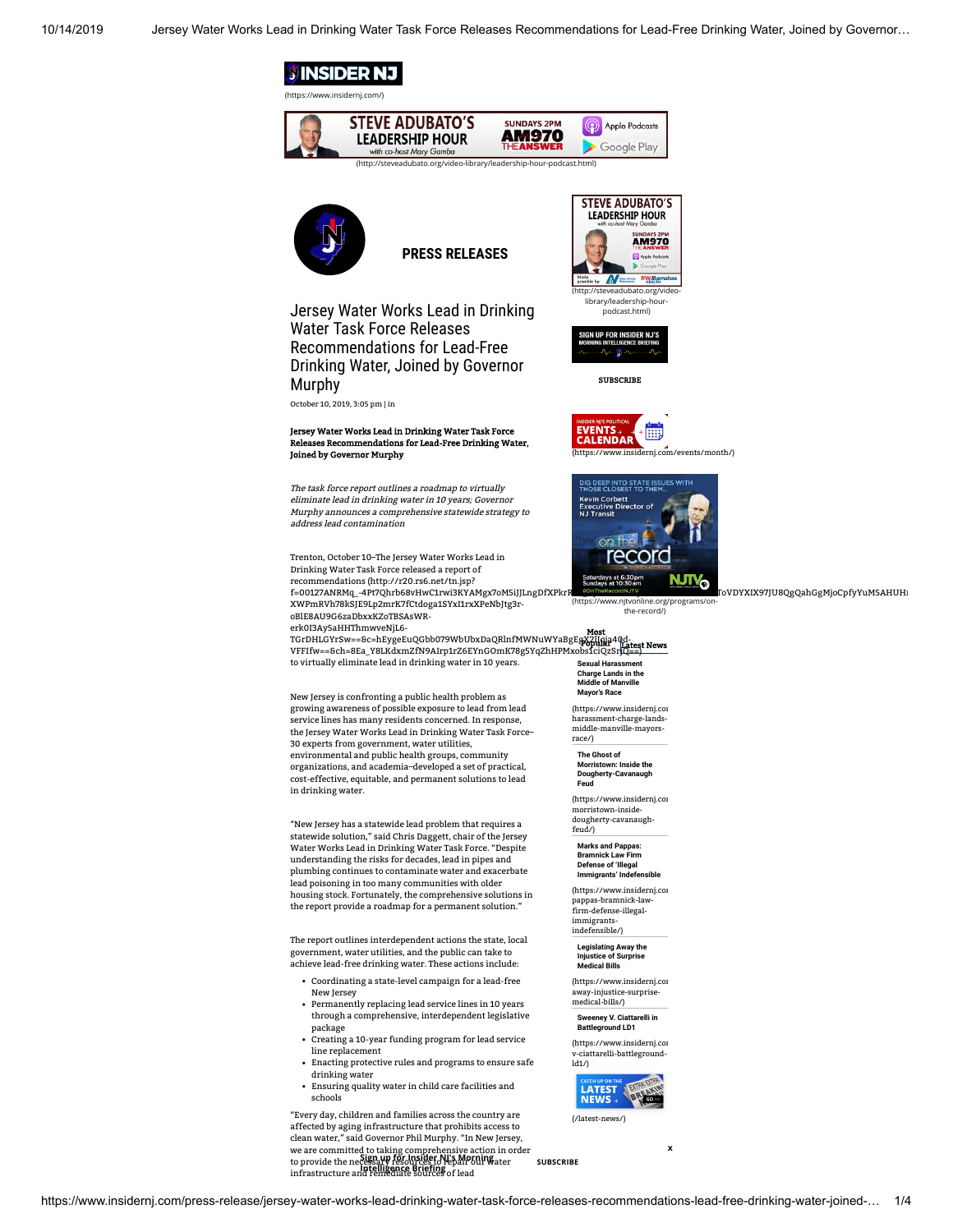

<span id="page-0-0"></span>

https://www.insidernj.com/press-release/jersey-water-works-lead-drinking-water-task-force-releases-recommendations-lead-free-drinking-water-joined-… 1/4

**Sign up for Insider NJ's Morning Intelligence Brieng SUBSCRIBE**

<span id="page-0-1"></span>**x**

we are committed to taking comprehensive action in order<br>to provide the necessary for Insider NJ s Morning<br>to provide the necessary resources to repair our water<br>infrastructure and remediate sources of lead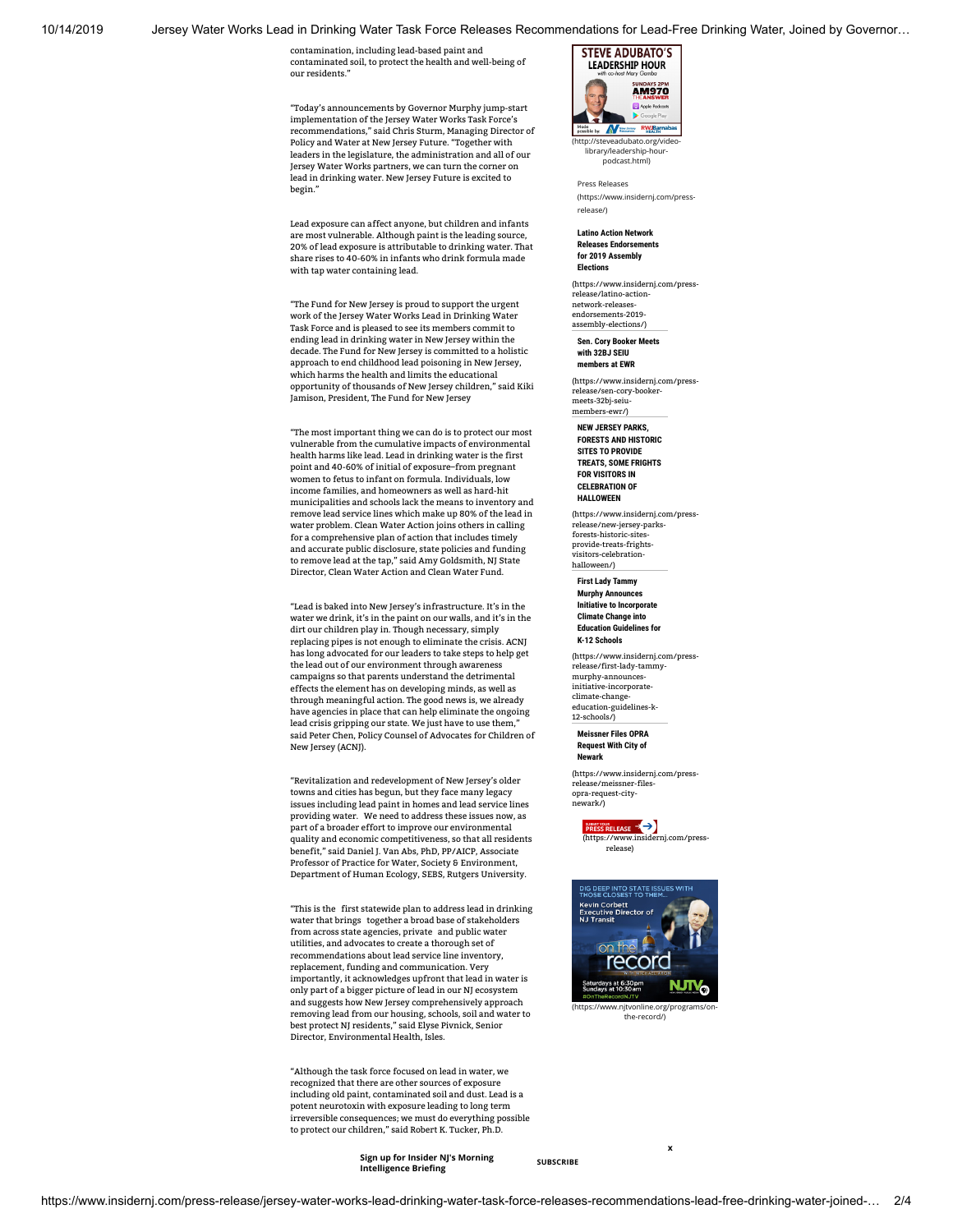10/14/2019 Jersey Water Works Lead in Drinking Water Task Force Releases Recommendations for Lead-Free Drinking Water, Joined by Governor…

contamination, including lead-based paint and contaminated soil, to protect the health and well-being of our residents."

"Today's announcements by Governor Murphy jump-start implementation of the Jersey Water Works Task Force's recommendations," said Chris Sturm, Managing Director of Policy and Water at New Jersey Future. "Together with leaders in the legislature, the administration and all of our Jersey Water Works partners, we can turn the corner on lead in drinking water. New Jersey Future is excited to begin."

Lead exposure can affect anyone, but children and infants are most vulnerable. Although paint is the leading source, 20% of lead exposure is attributable to drinking water. That share rises to 40-60% in infants who drink formula made with tap water containing lead.

"The Fund for New Jersey is proud to support the urgent work of the Jersey Water Works Lead in Drinking Water Task Force and is pleased to see its members commit to ending lead in drinking water in New Jersey within the decade. The Fund for New Jersey is committed to a holistic approach to end childhood lead poisoning in New Jersey, which harms the health and limits the educational opportunity of thousands of New Jersey children," said Kiki Jamison, President, The Fund for New Jersey

"The most important thing we can do is to protect our most vulnerable from the cumulative impacts of environmental health harms like lead. Lead in drinking water is the first point and 40-60% of initial of exposure–from pregnant women to fetus to infant on formula. Individuals, low income families, and homeowners as well as hard-hit municipalities and schools lack the means to inventory and remove lead service lines which make up 80% of the lead in water problem. Clean Water Action joins others in calling for a comprehensive plan of action that includes timely and accurate public disclosure, state policies and funding to remove lead at the tap," said Amy Goldsmith, NJ State<br>Director, Clean Water Action and Clean Water Fund.

"Lead is baked into New Jersey's infrastructure. It's in the water we drink, it's in the paint on our walls, and it's in the dirt our children play in. Though necessary, simply replacing pipes is not enough to eliminate the crisis. ACNJ has long advocated for our leaders to take steps to help get the lead out of our environment through awareness campaigns so that parents understand the detrimental effects the element has on developing minds, as well as through meaningful action. The good news is, we already have agencies in place that can help eliminate the ongoing lead crisis gripping our state. We just have to use them, said Peter Chen, Policy Counsel of Advocates for Children of New Jersey (ACNJ).

"Revitalization and redevelopment of New Jersey's older towns and cities has begun, but they face many legacy issues including lead paint in homes and lead service lines providing water. We need to address these issues now, as part of a broader effort to improve our environmental quality and economic competitiveness, so that all residents benefit," said Daniel J. Van Abs, PhD, PP/AICP, Associate Professor of Practice for Water, Society & Environment, Department of Human Ecology, SEBS, Rutgers University.

"This is the first statewide plan to address lead in drinking water that brings together a broad base of stakeholders from across state agencies, private and public water utilities, and advocates to create a thorough set of recommendations about lead service line inventory, replacement, funding and communication. Very importantly, it acknowledges upfront that lead in water is only part of a bigger picture of lead in our NJ ecosystem and suggests how New Jersey comprehensively approach removing lead from our housing, schools, soil and water to best protect NJ residents," said Elyse Pivnick, Senior Director, Environmental Health, Isles.

"Although the task force focused on lead in water, we recognized that there are other sources of exposure including old paint, contaminated soil and dust. Lead is a potent neurotoxin with exposure leading to long term irreversible consequences; we must do everything possible to protect our children," said Robert K. Tucker, Ph.D.

> **Sign up for Insider NJ's Morning Intelligence Brieng SUBSCRIBE**



podcast.html) Press Releases

[\(https://www.insidernj.com/press](https://www.insidernj.com/press-release/)release/)

**Latino Action Network Releases Endorsements for 2019 Assembly Elections**

[\(https://www.insidernj.com/press](https://www.insidernj.com/press-release/latino-action-network-releases-endorsements-2019-assembly-elections/)release/latino-action network-releasesendorsements-2019 assembly-elections/)

**Sen. Cory Booker Meets with 32BJ SEIU members at EWR**

[\(https://www.insidernj.com/press-](https://www.insidernj.com/press-release/sen-cory-booker-meets-32bj-seiu-members-ewr/)release/sen-cory-booker meets-32bj-seiu members-ewr/)

**NEW JERSEY PARKS, FORESTS AND HISTORIC SITES TO PROVIDE TREATS, SOME FRIGHTS FOR VISITORS IN CELEBRATION OF HALLOWEEN**

[\(https://www.insidernj.com/press](https://www.insidernj.com/press-release/new-jersey-parks-forests-historic-sites-provide-treats-frights-visitors-celebration-halloween/)release/new-jersey-parks-forests-historic-sitesprovide-treats-frightsvisitors-celebration halloween/)

**First Lady Tammy Murphy Announces Initiative to Incorporate Climate Change into Education Guidelines for K-12 Schools**

[\(https://www.insidernj.com/press](https://www.insidernj.com/press-release/first-lady-tammy-murphy-announces-initiative-incorporate-climate-change-education-guidelines-k-12-schools/)release/first-lady-tammy murphy-announces-initiative-incorporateclimate-change-education-guidelines-k-12-schools/)

**Meissner Files OPRA Request With City of Newark** 

[\(https://www.insidernj.com/press](https://www.insidernj.com/press-release/meissner-files-opra-request-city-newark/)release/meissner-filesopra-request-city newark/)

SUBMITYOUR<br>PRESS RELEASE [\(https://www.insidernj.com/press](https://www.insidernj.com/press-release)release)



the-record/)

**x**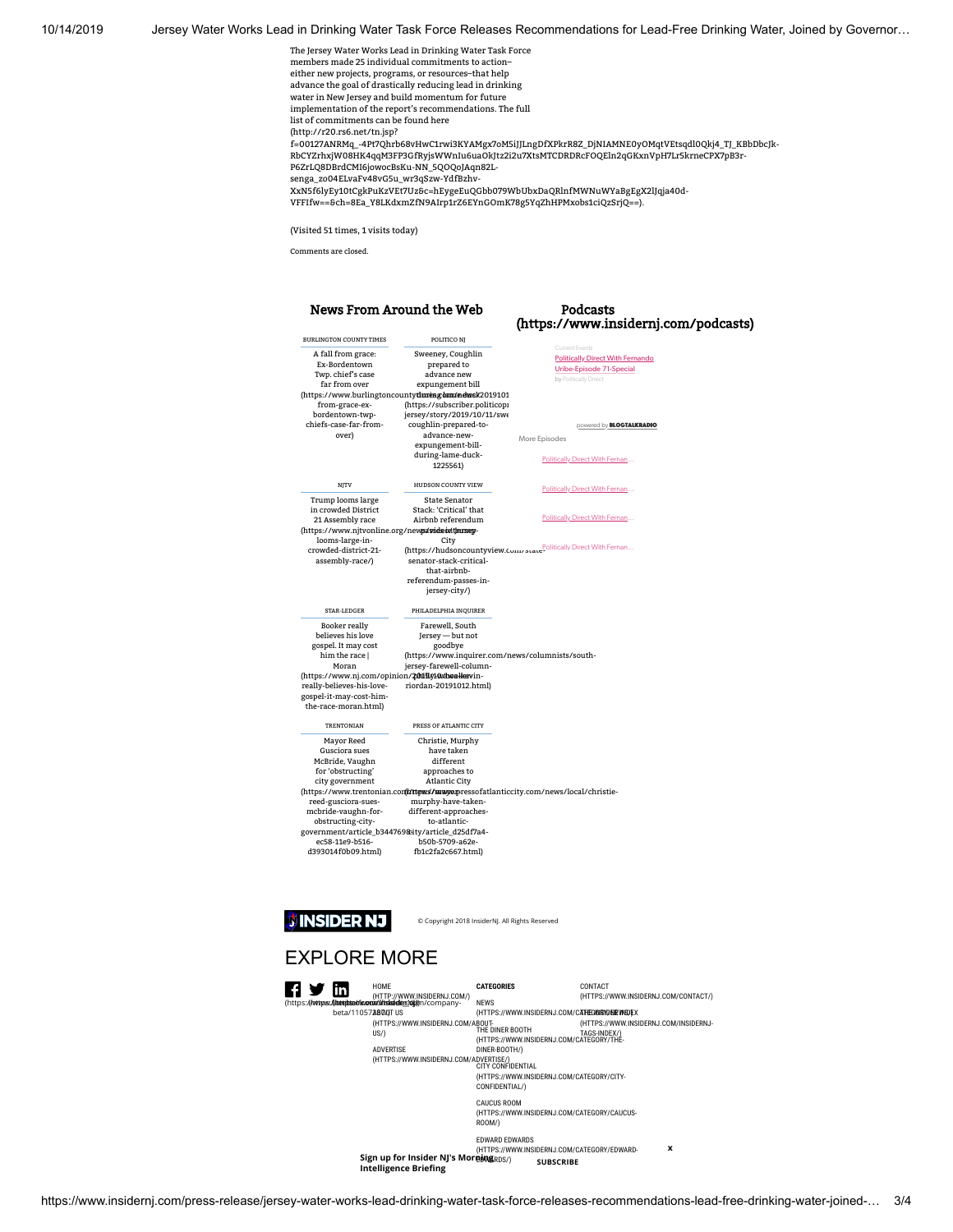10/14/2019 Jersey Water Works Lead in Drinking Water Task Force Releases Recommendations for Lead-Free Drinking Water, Joined by Governor…

The Jersey Water Works Lead in Drinking Water Task Force members made 25 individual commitments to action– either new projects, programs, or resources–that help advance the goal of drastically reducing lead in drinking water in New Jersey and build momentum for future implementation of the report's recommendations. The full list of commitments can be found here (http://r20.rs6.net/tn.jsp? [f=00127ANRMq\\_-4Pt7Qhrb68vHwC1rwi3KYAMgx7oM5iJJLngDfXPkrR8Z\\_DjNIAMNE0yOMqtVEtsqdl0Qkj4\\_TJ\\_KBbDbcJk-](http://r20.rs6.net/tn.jsp?f=00127ANRMq_-4Pt7Qhrb68vHwC1rwi3KYAMgx7oM5iJJLngDfXPkrR8Z_DjNIAMNE0yOMqtVEtsqdl0Qkj4_TJ_KBbDbcJk-RbCYZrhxjW08HK4qqM3FP3GfRyjsWWnIu6uaOkJtz2i2u7XtsMTCDRDRcFOQEln2qGKxnVpH7Lr5krneCPX7pB3r-P6ZrLQ8DBrdCMI6jowocBsKu-NN_5QOQoJAqn82L-senga_zo04ELvaFv48vG5u_wr3qSzw-YdfBzhv-XxN5f6lyEy10tCgkPuKzVEt7Uz&c=hEygeEuQGbb079WbUbxDaQRlnfMWNuWYaBgEgX2lJqja40d-VFFIfw==&ch=8Ea_Y8LKdxmZfN9AIrp1rZ6EYnGOmK78g5YqZhHPMxobs1ciQzSrjQ==) RbCYZrhxjW08HK4qqM3FP3GfRyjsWWnIu6uaOkJtz2i2u7XtsMTCDRDRcFOQEln2qGKxnVpH7Lr5krneCPX7pB3r-P6ZrLQ8DBrdCMI6jowocBsKu-NN\_5QOQoJAqn82Lsenga\_zo04ELvaFv48vG5u\_wr3qSzw-YdfBzhv-  ${\bf XxNSf6lyEy10tcg}k \text{Pu} \text{KzVEt7Uz}\bar{\text{bc}}\text{=} h \text{EygeEuQGbb079Wb} \text{UbxDaQRlnf} \text{MWWuWYaBgEgX2lJqja40d-} h \text{DyyaOg} \text{DyyaOg} \text{AyyaOg} \text{AyybOg} \text{AyybOg} \text{AyybOg} \text{AyybOg} \text{AyybOg} \text{AyybOg} \text{AyybOg} \text{AyybOg} \text{AyybOg} \text{AyybOg} \text{AyybO$ VFFIfw==&ch=8Ea\_Y8LKdxmZfN9AIrp1rZ6EYnGOmK78g5YqZhHPMxobs1ciQzSrjQ==).

(Visited 51 times, 1 visits today)

Comments are closed.

## News From Around the Web

## Podcasts [\(https://www.insidernj.com/podcasts\)](https://www.insidernj.com/podcasts)

| <b>BURLINGTON COUNTY TIMES</b>                                                                                                                                                                                    | POLITICO NI                                                                                                                                                                                                                                                                                                                                                        |                                                                                                                |
|-------------------------------------------------------------------------------------------------------------------------------------------------------------------------------------------------------------------|--------------------------------------------------------------------------------------------------------------------------------------------------------------------------------------------------------------------------------------------------------------------------------------------------------------------------------------------------------------------|----------------------------------------------------------------------------------------------------------------|
| A fall from grace:<br>Ex-Bordentown<br>Twp. chief's case<br>far from over<br>from-grace-ex-                                                                                                                       | Sweeney, Coughlin<br>prepared to<br>advance new<br>expungement bill<br>(https://www.burlingtoncountytimesgdam/edwsk2019101<br>(https://subscriber.politicopi                                                                                                                                                                                                       | Current Events<br><b>Politically Direct With Fernando</b><br>Uribe-Episode 71-Special<br>by Politically Direct |
| bordentown-twp-<br>chiefs-case-far-from-<br>over)                                                                                                                                                                 | jersey/story/2019/10/11/swe<br>coughlin-prepared-to-<br>advance-new-<br>expungement-bill-<br>during-lame-duck-<br>1225561)                                                                                                                                                                                                                                         | powered by <b>BLOGTALKRADIO</b><br>More Episodes<br>Politically Direct With Fernan                             |
| NJTV                                                                                                                                                                                                              | HUDSON COUNTY VIEW                                                                                                                                                                                                                                                                                                                                                 | Politically Direct With Fernan                                                                                 |
| Trump looms large<br>in crowded District<br>21 Assembly race<br>(https://www.njtvonline.org/newsa/sideoi/tjarsey-<br>looms-large-in-                                                                              | State Senator<br>Stack: 'Critical' that<br>Airbnb referendum<br>City                                                                                                                                                                                                                                                                                               | Politically Direct With Fernan                                                                                 |
| crowded-district-21-<br>assembly-race/)                                                                                                                                                                           | senator-stack-critical-<br>that-airbnb-<br>referendum-passes-in-<br>jersey-city/)                                                                                                                                                                                                                                                                                  | (https://hudsoncountyview.com/state <sup>PoliticallyDirectWithFernan</sup>                                     |
| STAR-LEDGER<br>Booker really<br>believes his love<br>gospel. It may cost<br>him the race I<br>Moran<br>(https://www.nj.com/opinion/201191/10/duoallervin-<br>really-believes-his-love-<br>gospel-it-may-cost-him- | PHILADELPHIA INQUIRER<br>Farewell, South<br>Jersey - but not<br>goodbye<br>(https://www.inquirer.com/news/columnists/south-<br>jersey-farewell-column-<br>riordan-20191012.html)                                                                                                                                                                                   |                                                                                                                |
| the-race-moran.html)                                                                                                                                                                                              |                                                                                                                                                                                                                                                                                                                                                                    |                                                                                                                |
| TRENTONIAN<br>Mayor Reed<br>Gusciora sues<br>McBride, Vaughn<br>for 'obstructing'<br>city government<br>reed-gusciora-sues-<br>mcbride-vaughn-for-<br>obstructing-city-<br>ec58-11e9-b516-<br>d393014f0b09.html)  | PRESS OF ATLANTIC CITY<br>Christie, Murphy<br>have taken<br>different<br>approaches to<br><b>Atlantic City</b><br>(https://www.trentonian.contritiess/mayopressofatlanticcity.com/news/local/christie-<br>murphy-have-taken-<br>different-approaches-<br>to-atlantic-<br>government/article_b344769&ity/article_d25df7a4-<br>b50b-5709-a62e-<br>fb1c2fa2c667.html) |                                                                                                                |

**NINSIDER NJ** 

 $\overline{\phantom{a}}$ 

© Copyright 2018 InsiderNJ. All Rights Reserved

## EXPLORE MORE

| In                         | <b>HOMF</b>                                                                                            | <b>CATEGORIES</b><br><b>NEWS</b>                                                                                                                                                                                                                                                                       | CONTACT<br>(HTTPS://WWW.INSIDERNJ.COM/CONTACT/)       |
|----------------------------|--------------------------------------------------------------------------------------------------------|--------------------------------------------------------------------------------------------------------------------------------------------------------------------------------------------------------------------------------------------------------------------------------------------------------|-------------------------------------------------------|
| beta/11057 <b>4800</b> TUS | (HTTPS://WWW.INSIDERNJ.COM/ABOUT-<br>US/<br><b>ADVERTISE</b><br>(HTTPS://WWW.INSIDERNJ.COM/ADVERTISE/) | (HTTPS://WWW.INSIDERNJ.COM/CATEGONSYONEWSOFX<br>THE DINER BOOTH<br>(HTTPS://WWW.INSIDERNJ.COM/CATEGORY/THE-<br>DINER-BOOTH/)<br><b>CITY CONFIDENTIAL</b><br>(HTTPS://WWW.INSIDERNJ.COM/CATEGORY/CITY-<br>CONFIDENTIAL/)<br><b>CAUCUS ROOM</b><br>(HTTPS://WWW.INSIDERNJ.COM/CATEGORY/CAUCUS-<br>ROOM/) | (HTTPS://WWW.INSIDERNJ.COM/INSIDERNJ-<br>TAGS-INDEX/) |
|                            | Sign up for Insider NJ's MorningRDS/<br><b>Intelligence Briefing</b>                                   | <b>FDWARD FDWARDS</b><br>(HTTPS://WWW.INSIDERNJ.COM/CATEGORY/EDWARD-<br><b>SUBSCRIBE</b>                                                                                                                                                                                                               | x                                                     |